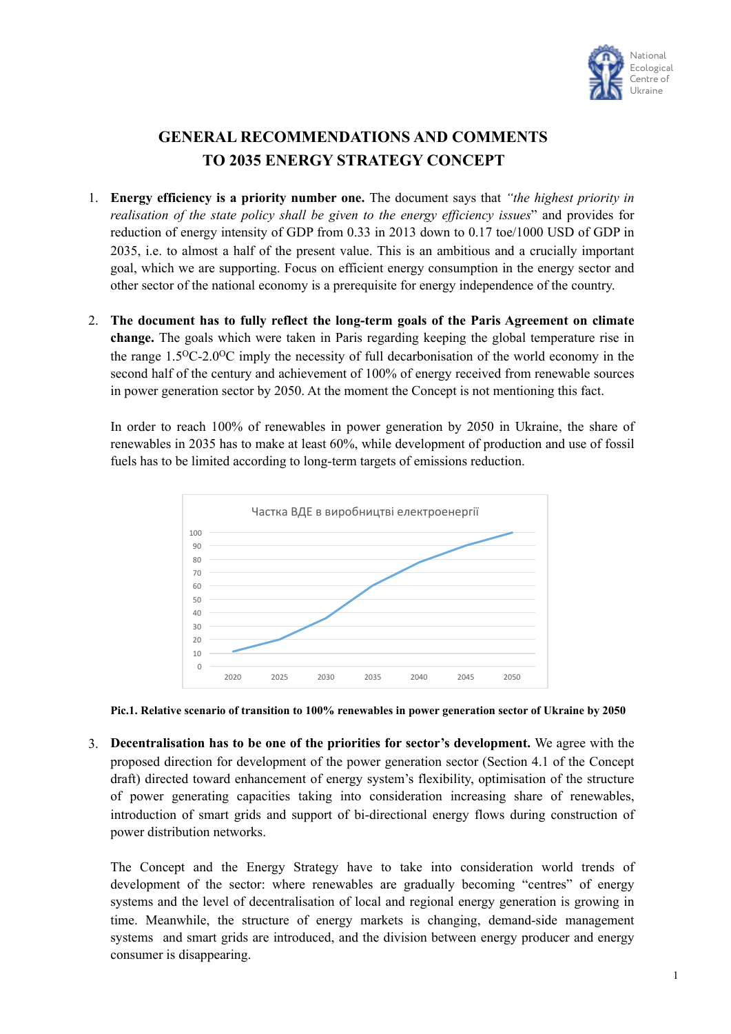

## **GENERAL RECOMMENDATIONS AND COMMENTS TO 2035 ENERGY STRATEGY CONCEPT**

- 1. **Energy efficiency is a priority number one.** The document says that *"the highest priority in realisation of the state policy shall be given to the energy efficiency issues*" and provides for reduction of energy intensity of GDP from 0.33 in 2013 down to 0.17 toe/1000 USD of GDP in 2035, i.e. to almost a half of the present value. This is an ambitious and a crucially important goal, which we are supporting. Focus on efficient energy consumption in the energy sector and other sector of the national economy is a prerequisite for energy independence of the country.
- 2. **The document has to fully reflect the long-term goals of the Paris Agreement on climate change.** The goals which were taken in Paris regarding keeping the global temperature rise in the range 1.5OС-2.0OС imply the necessity of full decarbonisation of the world economy in the second half of the century and achievement of 100% of energy received from renewable sources in power generation sector by 2050. At the moment the Concept is not mentioning this fact.

In order to reach 100% of renewables in power generation by 2050 in Ukraine, the share of renewables in 2035 has to make at least 60%, while development of production and use of fossil fuels has to be limited according to long-term targets of emissions reduction.





3. **Decentralisation has to be one of the priorities for sector's development.** We agree with the proposed direction for development of the power generation sector (Section 4.1 of the Concept draft) directed toward enhancement of energy system's flexibility, optimisation of the structure of power generating capacities taking into consideration increasing share of renewables, introduction of smart grids and support of bi-directional energy flows during construction of power distribution networks.

The Concept and the Energy Strategy have to take into consideration world trends of development of the sector: where renewables are gradually becoming "centres" of energy systems and the level of decentralisation of local and regional energy generation is growing in time. Meanwhile, the structure of energy markets is changing, demand-side management systems and smart grids are introduced, and the division between energy producer and energy consumer is disappearing.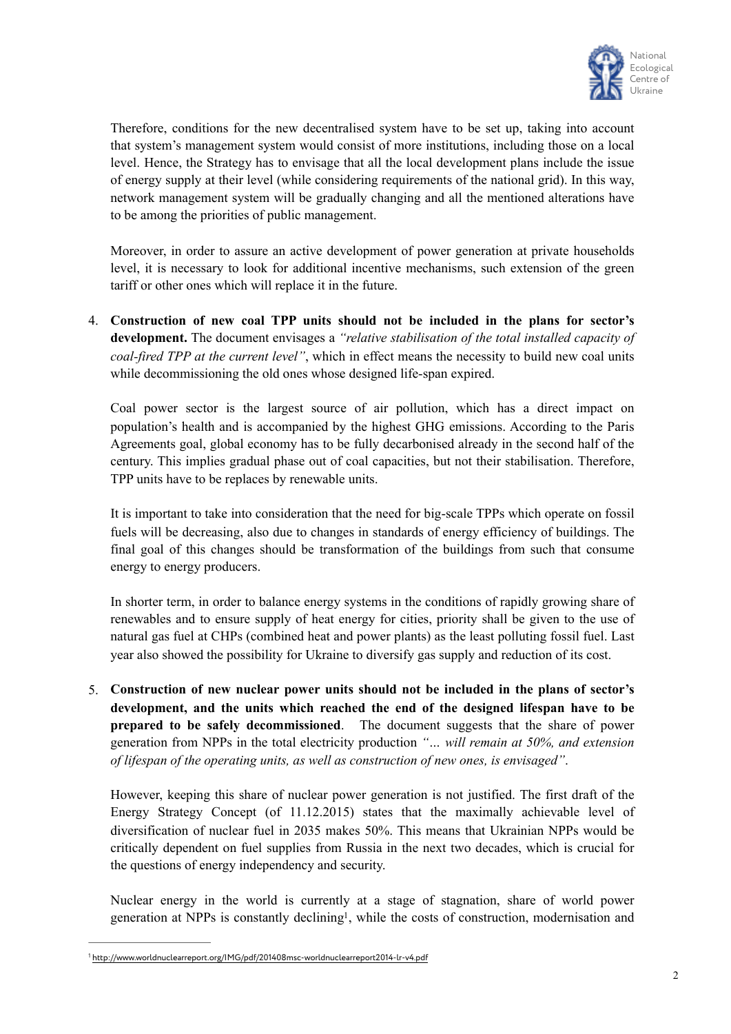

Therefore, conditions for the new decentralised system have to be set up, taking into account that system's management system would consist of more institutions, including those on a local level. Hence, the Strategy has to envisage that all the local development plans include the issue of energy supply at their level (while considering requirements of the national grid). In this way, network management system will be gradually changing and all the mentioned alterations have to be among the priorities of public management.

Moreover, in order to assure an active development of power generation at private households level, it is necessary to look for additional incentive mechanisms, such extension of the green tariff or other ones which will replace it in the future.

4. **Construction of new coal TPP units should not be included in the plans for sector's development.** The document envisages a *"relative stabilisation of the total installed capacity of coal-fired TPP at the current level"*, which in effect means the necessity to build new coal units while decommissioning the old ones whose designed life-span expired.

Coal power sector is the largest source of air pollution, which has a direct impact on population's health and is accompanied by the highest GHG emissions. According to the Paris Agreements goal, global economy has to be fully decarbonised already in the second half of the century. This implies gradual phase out of coal capacities, but not their stabilisation. Therefore, TPP units have to be replaces by renewable units.

It is important to take into consideration that the need for big-scale TPPs which operate on fossil fuels will be decreasing, also due to changes in standards of energy efficiency of buildings. The final goal of this changes should be transformation of the buildings from such that consume energy to energy producers.

In shorter term, in order to balance energy systems in the conditions of rapidly growing share of renewables and to ensure supply of heat energy for cities, priority shall be given to the use of natural gas fuel at CHPs (combined heat and power plants) as the least polluting fossil fuel. Last year also showed the possibility for Ukraine to diversify gas supply and reduction of its cost.

5. **Construction of new nuclear power units should not be included in the plans of sector's development, and the units which reached the end of the designed lifespan have to be prepared to be safely decommissioned**. The document suggests that the share of power generation from NPPs in the total electricity production *"… will remain at 50%, and extension of lifespan of the operating units, as well as construction of new ones, is envisaged"*.

However, keeping this share of nuclear power generation is not justified. The first draft of the Energy Strategy Concept (of 11.12.2015) states that the maximally achievable level of diversification of nuclear fuel in 2035 makes 50%. This means that Ukrainian NPPs would be critically dependent on fuel supplies from Russia in the next two decades, which is crucial for the questions of energy independency and security.

<span id="page-1-1"></span>Nuclear energy in the world is currently at a stage of stagnation, share of world power generation at NPPs is constantly declining<sup>1</sup>[,](#page-1-0) while the costs of construction, modernisation and

<span id="page-1-0"></span><http://www.worldnuclearreport.org/IMG/pdf/201408msc-worldnuclearreport2014-lr-v4.pdf> [1](#page-1-1)